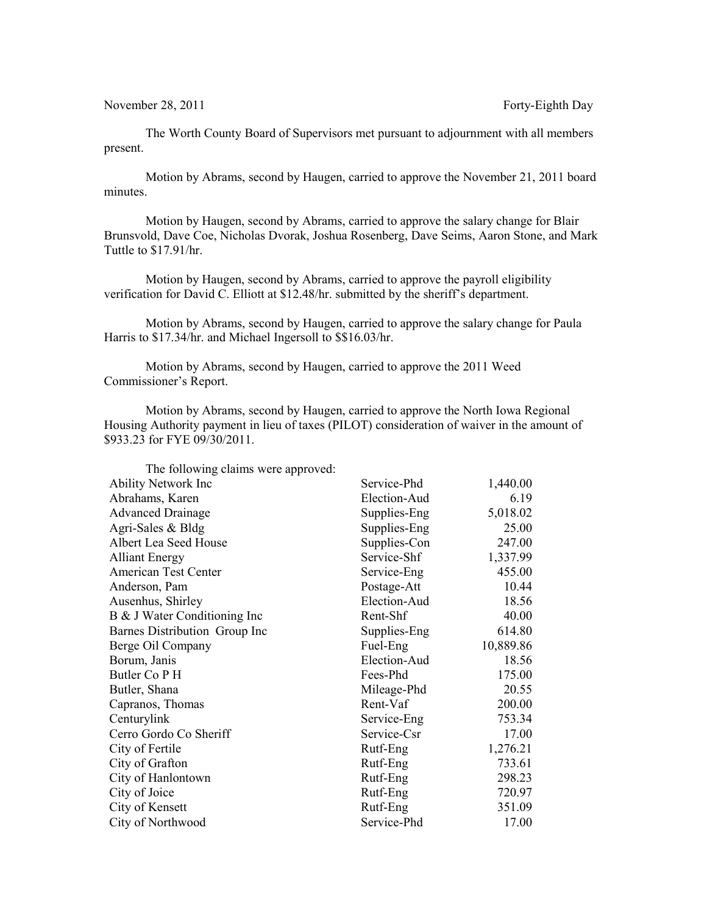November 28, 2011 **Forty-Eighth Day** 

The Worth County Board of Supervisors met pursuant to adjournment with all members present.

Motion by Abrams, second by Haugen, carried to approve the November 21, 2011 board minutes.

Motion by Haugen, second by Abrams, carried to approve the salary change for Blair Brunsvold, Dave Coe, Nicholas Dvorak, Joshua Rosenberg, Dave Seims, Aaron Stone, and Mark Tuttle to \$17.91/hr.

Motion by Haugen, second by Abrams, carried to approve the payroll eligibility verification for David C. Elliott at \$12.48/hr. submitted by the sheriff's department.

Motion by Abrams, second by Haugen, carried to approve the salary change for Paula Harris to \$17.34/hr. and Michael Ingersoll to \$\$16.03/hr.

Motion by Abrams, second by Haugen, carried to approve the 2011 Weed Commissioner's Report.

Motion by Abrams, second by Haugen, carried to approve the North Iowa Regional Housing Authority payment in lieu of taxes (PILOT) consideration of waiver in the amount of \$933.23 for FYE 09/30/2011.

| The following claims were approved: |              |           |
|-------------------------------------|--------------|-----------|
| <b>Ability Network Inc</b>          | Service-Phd  | 1,440.00  |
| Abrahams, Karen                     | Election-Aud | 6.19      |
| <b>Advanced Drainage</b>            | Supplies-Eng | 5,018.02  |
| Agri-Sales & Bldg                   | Supplies-Eng | 25.00     |
| Albert Lea Seed House               | Supplies-Con | 247.00    |
| <b>Alliant Energy</b>               | Service-Shf  | 1,337.99  |
| American Test Center                | Service-Eng  | 455.00    |
| Anderson, Pam                       | Postage-Att  | 10.44     |
| Ausenhus, Shirley                   | Election-Aud | 18.56     |
| B & J Water Conditioning Inc        | Rent-Shf     | 40.00     |
| Barnes Distribution Group Inc       | Supplies-Eng | 614.80    |
| Berge Oil Company                   | Fuel-Eng     | 10,889.86 |
| Borum, Janis                        | Election-Aud | 18.56     |
| Butler Co P H                       | Fees-Phd     | 175.00    |
| Butler, Shana                       | Mileage-Phd  | 20.55     |
| Capranos, Thomas                    | Rent-Vaf     | 200.00    |
| Centurylink                         | Service-Eng  | 753.34    |
| Cerro Gordo Co Sheriff              | Service-Csr  | 17.00     |
| City of Fertile                     | Rutf-Eng     | 1,276.21  |
| City of Grafton                     | Rutf-Eng     | 733.61    |
| City of Hanlontown                  | Rutf-Eng     | 298.23    |
| City of Joice                       | Rutf-Eng     | 720.97    |
| City of Kensett                     | Rutf-Eng     | 351.09    |
| City of Northwood                   | Service-Phd  | 17.00     |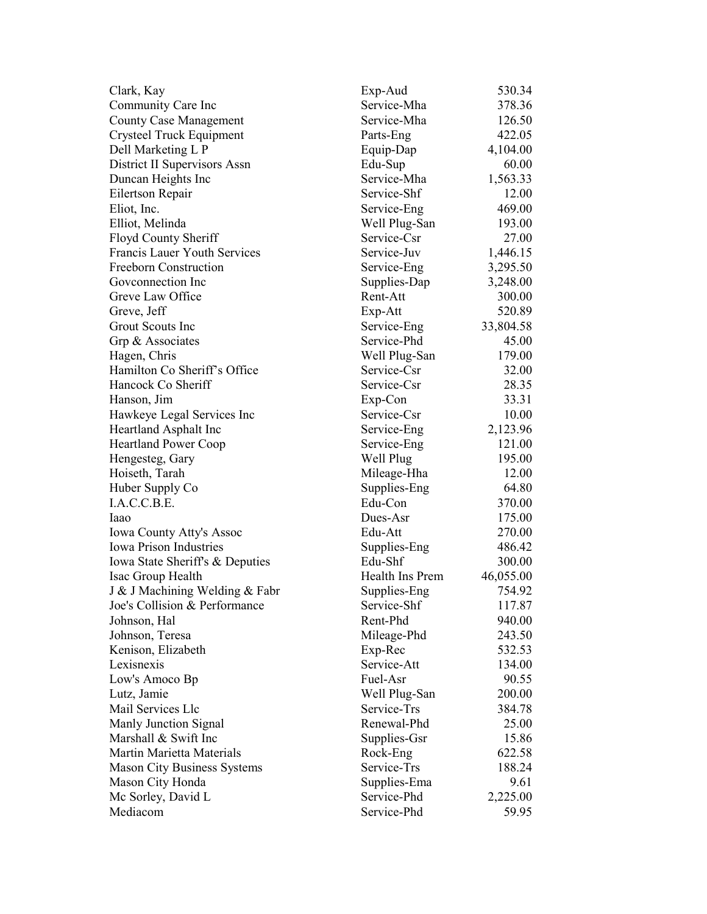| Clark, Kay                          | Exp-Aud         | 530.34    |
|-------------------------------------|-----------------|-----------|
| Community Care Inc                  | Service-Mha     | 378.36    |
| <b>County Case Management</b>       | Service-Mha     | 126.50    |
| Crysteel Truck Equipment            | Parts-Eng       | 422.05    |
| Dell Marketing L P                  | Equip-Dap       | 4,104.00  |
| District II Supervisors Assn        | Edu-Sup         | 60.00     |
| Duncan Heights Inc                  | Service-Mha     | 1,563.33  |
| Eilertson Repair                    | Service-Shf     | 12.00     |
| Eliot, Inc.                         | Service-Eng     | 469.00    |
| Elliot, Melinda                     | Well Plug-San   | 193.00    |
| Floyd County Sheriff                | Service-Csr     | 27.00     |
| <b>Francis Lauer Youth Services</b> | Service-Juv     | 1,446.15  |
| Freeborn Construction               | Service-Eng     | 3,295.50  |
| Goveonnection Inc                   | Supplies-Dap    | 3,248.00  |
| Greve Law Office                    | Rent-Att        | 300.00    |
| Greve, Jeff                         | Exp-Att         | 520.89    |
| Grout Scouts Inc                    | Service-Eng     | 33,804.58 |
| Grp & Associates                    | Service-Phd     | 45.00     |
| Hagen, Chris                        | Well Plug-San   | 179.00    |
| Hamilton Co Sheriff's Office        | Service-Csr     | 32.00     |
| Hancock Co Sheriff                  | Service-Csr     | 28.35     |
| Hanson, Jim                         | Exp-Con         | 33.31     |
| Hawkeye Legal Services Inc          | Service-Csr     | 10.00     |
| Heartland Asphalt Inc               | Service-Eng     | 2,123.96  |
| <b>Heartland Power Coop</b>         | Service-Eng     | 121.00    |
| Hengesteg, Gary                     | Well Plug       | 195.00    |
| Hoiseth, Tarah                      | Mileage-Hha     | 12.00     |
| Huber Supply Co                     | Supplies-Eng    | 64.80     |
| I.A.C.C.B.E.                        | Edu-Con         | 370.00    |
| Iaao                                | Dues-Asr        |           |
|                                     | Edu-Att         | 175.00    |
| Iowa County Atty's Assoc            |                 | 270.00    |
| <b>Iowa Prison Industries</b>       | Supplies-Eng    | 486.42    |
| Iowa State Sheriff's & Deputies     | Edu-Shf         | 300.00    |
| Isac Group Health                   | Health Ins Prem | 46,055.00 |
| J & J Machining Welding & Fabr      | Supplies-Eng    | 754.92    |
| Joe's Collision & Performance       | Service-Shf     | 117.87    |
| Johnson, Hal                        | Rent-Phd        | 940.00    |
| Johnson, Teresa                     | Mileage-Phd     | 243.50    |
| Kenison, Elizabeth                  | Exp-Rec         | 532.53    |
| Lexisnexis                          | Service-Att     | 134.00    |
| Low's Amoco Bp                      | Fuel-Asr        | 90.55     |
| Lutz, Jamie                         | Well Plug-San   | 200.00    |
| Mail Services Llc                   | Service-Trs     | 384.78    |
| Manly Junction Signal               | Renewal-Phd     | 25.00     |
| Marshall & Swift Inc                | Supplies-Gsr    | 15.86     |
| Martin Marietta Materials           | Rock-Eng        | 622.58    |
| <b>Mason City Business Systems</b>  | Service-Trs     | 188.24    |
| Mason City Honda                    | Supplies-Ema    | 9.61      |
| Mc Sorley, David L                  | Service-Phd     | 2,225.00  |
| Mediacom                            | Service-Phd     | 59.95     |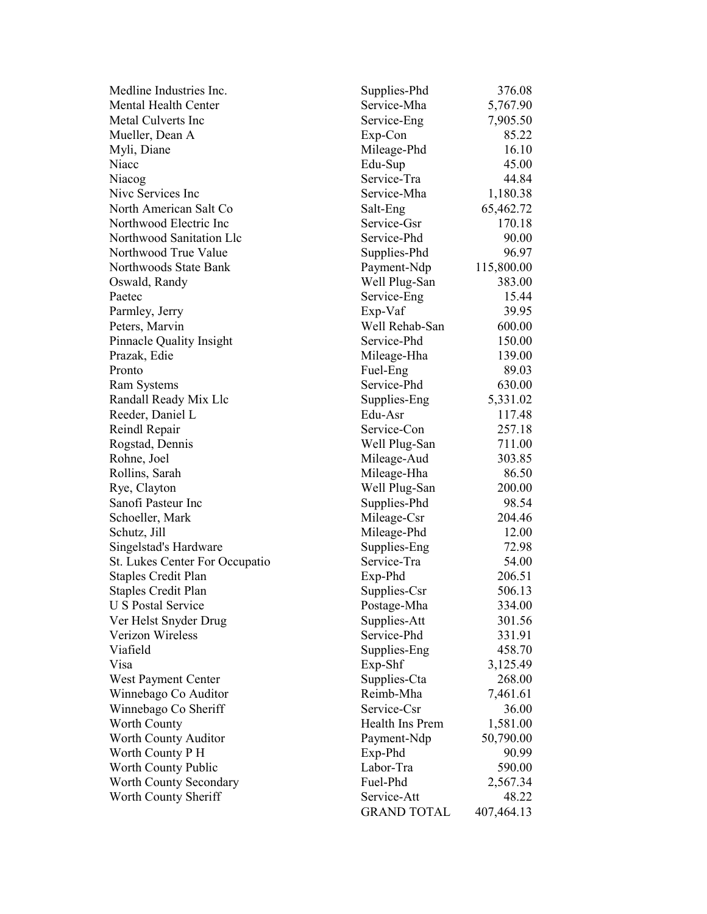| Medline Industries Inc.               | Supplies-Phd       | 376.08     |
|---------------------------------------|--------------------|------------|
| <b>Mental Health Center</b>           | Service-Mha        | 5,767.90   |
| Metal Culverts Inc                    | Service-Eng        | 7,905.50   |
| Mueller, Dean A                       | Exp-Con            | 85.22      |
| Myli, Diane                           | Mileage-Phd        | 16.10      |
| Niacc                                 | Edu-Sup            | 45.00      |
| Niacog                                | Service-Tra        | 44.84      |
| Nive Services Inc                     | Service-Mha        | 1,180.38   |
| North American Salt Co                | Salt-Eng           | 65,462.72  |
| Northwood Electric Inc                | Service-Gsr        | 170.18     |
| Northwood Sanitation Llc              | Service-Phd        | 90.00      |
| Northwood True Value                  | Supplies-Phd       | 96.97      |
| Northwoods State Bank                 | Payment-Ndp        | 115,800.00 |
| Oswald, Randy                         | Well Plug-San      | 383.00     |
| Paetec                                | Service-Eng        | 15.44      |
| Parmley, Jerry                        | Exp-Vaf            | 39.95      |
| Peters, Marvin                        | Well Rehab-San     | 600.00     |
| <b>Pinnacle Quality Insight</b>       | Service-Phd        | 150.00     |
| Prazak, Edie                          | Mileage-Hha        | 139.00     |
| Pronto                                | Fuel-Eng           | 89.03      |
| <b>Ram Systems</b>                    | Service-Phd        | 630.00     |
| Randall Ready Mix Llc                 | Supplies-Eng       | 5,331.02   |
| Reeder, Daniel L                      | Edu-Asr            | 117.48     |
| Reindl Repair                         | Service-Con        | 257.18     |
| Rogstad, Dennis                       | Well Plug-San      | 711.00     |
| Rohne, Joel                           | Mileage-Aud        | 303.85     |
| Rollins, Sarah                        | Mileage-Hha        | 86.50      |
| Rye, Clayton                          | Well Plug-San      | 200.00     |
| Sanofi Pasteur Inc                    | Supplies-Phd       | 98.54      |
| Schoeller, Mark                       | Mileage-Csr        | 204.46     |
| Schutz, Jill                          | Mileage-Phd        | 12.00      |
| Singelstad's Hardware                 | Supplies-Eng       | 72.98      |
| <b>St. Lukes Center For Occupatio</b> | Service-Tra        | 54.00      |
| <b>Staples Credit Plan</b>            | Exp-Phd            | 206.51     |
| Staples Credit Plan                   | Supplies-Csr       | 506.13     |
| <b>U S Postal Service</b>             | Postage-Mha        | 334.00     |
| Ver Helst Snyder Drug                 | Supplies-Att       | 301.56     |
| Verizon Wireless                      | Service-Phd        | 331.91     |
| Viafield                              | Supplies-Eng       | 458.70     |
| Visa                                  | Exp-Shf            | 3,125.49   |
| West Payment Center                   | Supplies-Cta       | 268.00     |
| Winnebago Co Auditor                  | Reimb-Mha          | 7,461.61   |
| Winnebago Co Sheriff                  | Service-Csr        | 36.00      |
| <b>Worth County</b>                   | Health Ins Prem    | 1,581.00   |
| Worth County Auditor                  | Payment-Ndp        | 50,790.00  |
| Worth County P H                      | Exp-Phd            | 90.99      |
| Worth County Public                   | Labor-Tra          | 590.00     |
| Worth County Secondary                | Fuel-Phd           | 2,567.34   |
| Worth County Sheriff                  | Service-Att        | 48.22      |
|                                       | <b>GRAND TOTAL</b> | 407,464.13 |